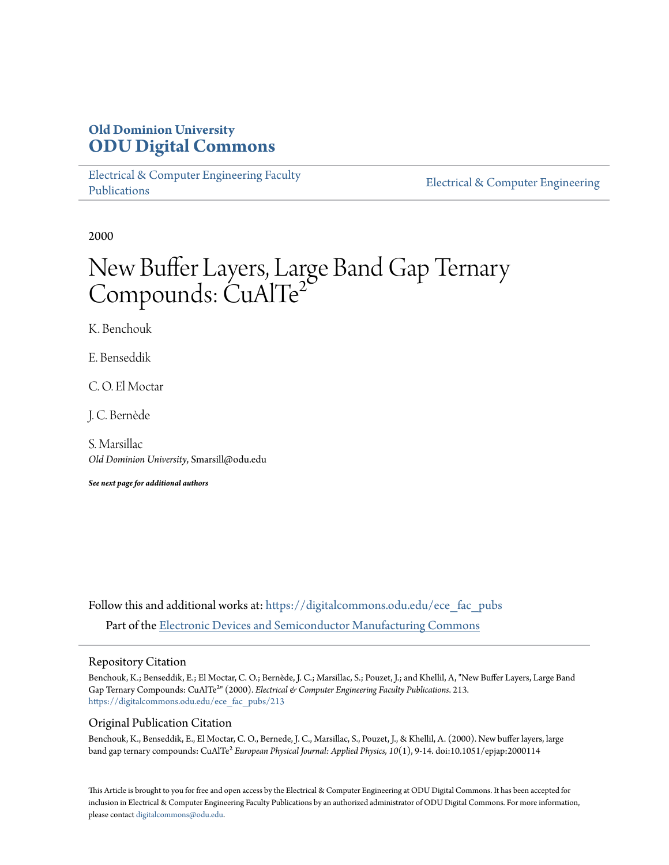# **Old Dominion University [ODU Digital Commons](https://digitalcommons.odu.edu?utm_source=digitalcommons.odu.edu%2Fece_fac_pubs%2F213&utm_medium=PDF&utm_campaign=PDFCoverPages)**

[Electrical & Computer Engineering Faculty](https://digitalcommons.odu.edu/ece_fac_pubs?utm_source=digitalcommons.odu.edu%2Fece_fac_pubs%2F213&utm_medium=PDF&utm_campaign=PDFCoverPages) [Publications](https://digitalcommons.odu.edu/ece_fac_pubs?utm_source=digitalcommons.odu.edu%2Fece_fac_pubs%2F213&utm_medium=PDF&utm_campaign=PDFCoverPages)

[Electrical & Computer Engineering](https://digitalcommons.odu.edu/ece?utm_source=digitalcommons.odu.edu%2Fece_fac_pubs%2F213&utm_medium=PDF&utm_campaign=PDFCoverPages)

2000

# New Buffer Layers, Large Band Gap Ternary Compounds: CuAlTe<sup>2</sup>

K. Benchouk

E. Benseddik

C. O. El Moctar

J. C. Bernède

S. Marsillac *Old Dominion University*, Smarsill@odu.edu

*See next page for additional authors*

Follow this and additional works at: [https://digitalcommons.odu.edu/ece\\_fac\\_pubs](https://digitalcommons.odu.edu/ece_fac_pubs?utm_source=digitalcommons.odu.edu%2Fece_fac_pubs%2F213&utm_medium=PDF&utm_campaign=PDFCoverPages) Part of the [Electronic Devices and Semiconductor Manufacturing Commons](http://network.bepress.com/hgg/discipline/272?utm_source=digitalcommons.odu.edu%2Fece_fac_pubs%2F213&utm_medium=PDF&utm_campaign=PDFCoverPages)

## Repository Citation

Benchouk, K.; Benseddik, E.; El Moctar, C. O.; Bernède, J. C.; Marsillac, S.; Pouzet, J.; and Khellil, A, "New Buffer Layers, Large Band Gap Ternary Compounds: CuAlTe²" (2000). *Electrical & Computer Engineering Faculty Publications*. 213. [https://digitalcommons.odu.edu/ece\\_fac\\_pubs/213](https://digitalcommons.odu.edu/ece_fac_pubs/213?utm_source=digitalcommons.odu.edu%2Fece_fac_pubs%2F213&utm_medium=PDF&utm_campaign=PDFCoverPages)

# Original Publication Citation

Benchouk, K., Benseddik, E., El Moctar, C. O., Bernede, J. C., Marsillac, S., Pouzet, J., & Khellil, A. (2000). New buffer layers, large band gap ternary compounds: CuAlTe² *European Physical Journal: Applied Physics, 10*(1), 9-14. doi:10.1051/epjap:2000114

This Article is brought to you for free and open access by the Electrical & Computer Engineering at ODU Digital Commons. It has been accepted for inclusion in Electrical & Computer Engineering Faculty Publications by an authorized administrator of ODU Digital Commons. For more information, please contact [digitalcommons@odu.edu](mailto:digitalcommons@odu.edu).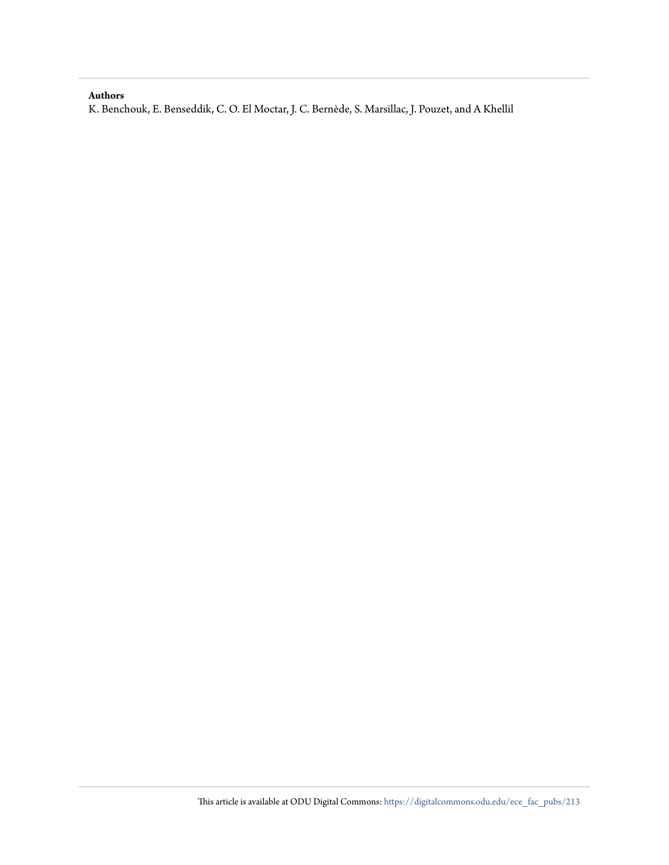### **Authors**

K. Benchouk, E. Benseddik, C. O. El Moctar, J. C. Bernède, S. Marsillac, J. Pouzet, and A Khellil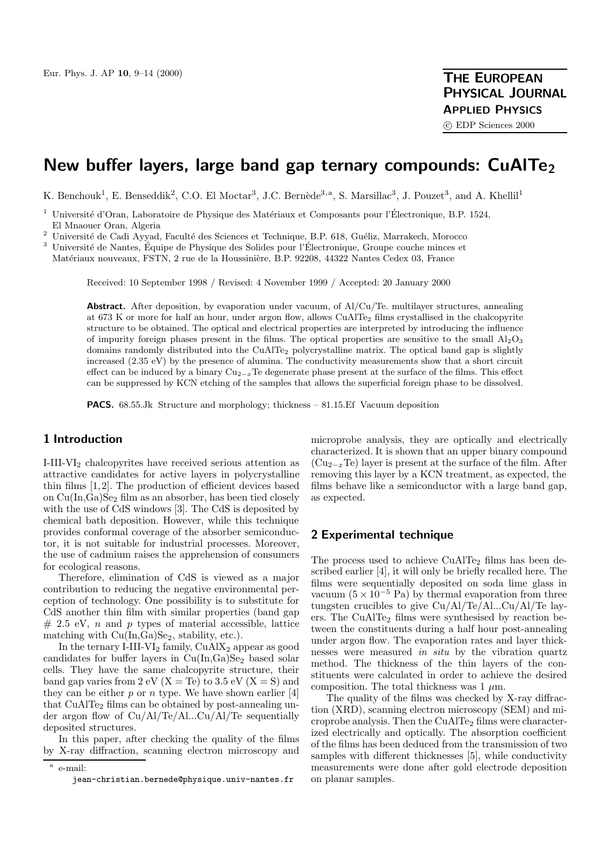# **New buffer layers, large band gap ternary compounds: CuAlTe2**

K. Benchouk<sup>1</sup>, E. Benseddik<sup>2</sup>, C.O. El Moctar<sup>3</sup>, J.C. Bernède<sup>3,a</sup>, S. Marsillac<sup>3</sup>, J. Pouzet<sup>3</sup>, and A. Khellil<sup>1</sup>

<sup>1</sup> Université d'Oran, Laboratoire de Physique des Matériaux et Composants pour l'Électronique, B.P. 1524, El Mnaouer Oran, Algeria

 $^2$ Université de Cadi Ayyad, Faculté des Sciences et Technique, B.P. 618, Guéliz, Marrakech, Morocco

<sup>3</sup> Université de Nantes, Équipe de Physique des Solides pour l'Électronique, Groupe couche minces et Matériaux nouveaux, FSTN, 2 rue de la Houssinière, B.P. 92208, 44322 Nantes Cedex 03, France

Received: 10 September 1998 / Revised: 4 November 1999 / Accepted: 20 January 2000

Abstract. After deposition, by evaporation under vacuum, of Al/Cu/Te. multilayer structures, annealing at 673 K or more for half an hour, under argon flow, allows CuAlTe<sub>2</sub> films crystallised in the chalcopyrite structure to be obtained. The optical and electrical properties are interpreted by introducing the influence of impurity foreign phases present in the films. The optical properties are sensitive to the small  $\rm Al_2O_3$ domains randomly distributed into the CuAlTe<sub>2</sub> polycrystalline matrix. The optical band gap is slightly increased (2.35 eV) by the presence of alumina. The conductivity measurements show that a short circuit effect can be induced by a binary  $Cu_{2-x}Te$  degenerate phase present at the surface of the films. This effect can be suppressed by KCN etching of the samples that allows the superficial foreign phase to be dissolved.

**PACS.** 68.55.Jk Structure and morphology; thickness – 81.15.Ef Vacuum deposition

# **1 Introduction**

I-III-VI<sup>2</sup> chalcopyrites have received serious attention as attractive candidates for active layers in polycrystalline thin films [1,2]. The production of efficient devices based on  $Cu(In, Ga)Se<sub>2</sub> film as an absorber, has been tied closely$ with the use of CdS windows [3]. The CdS is deposited by chemical bath deposition. However, while this technique provides conformal coverage of the absorber semiconductor, it is not suitable for industrial processes. Moreover, the use of cadmium raises the apprehension of consumers for ecological reasons.

Therefore, elimination of CdS is viewed as a major contribution to reducing the negative environmental perception of technology. One possibility is to substitute for CdS another thin film with similar properties (band gap  $# 2.5$  eV, *n* and *p* types of material accessible, lattice matching with  $Cu(In,Ga)Se<sub>2</sub>$ , stability, etc.).

In the ternary I-III-VI<sub>2</sub> family, CuAlX<sub>2</sub> appear as good candidates for buffer layers in  $Cu(In,Ga)Se<sub>2</sub>$  based solar cells. They have the same chalcopyrite structure, their band gap varies from  $2 \text{ eV}$  (X = Te) to  $3.5 \text{ eV}$  (X = S) and they can be either  $p$  or  $n$  type. We have shown earlier [4] that CuAlTe<sub>2</sub> films can be obtained by post-annealing under argon flow of Cu/Al/Te/Al...Cu/Al/Te sequentially deposited structures.

In this paper, after checking the quality of the films by X-ray diffraction, scanning electron microscopy and microprobe analysis, they are optically and electrically characterized. It is shown that an upper binary compound  $(Cu_{2-x}Te)$  layer is present at the surface of the film. After removing this layer by a KCN treatment, as expected, the films behave like a semiconductor with a large band gap, as expected.

## **2 Experimental technique**

The process used to achieve  $CuAlTe<sub>2</sub>$  films has been described earlier [4], it will only be briefly recalled here. The films were sequentially deposited on soda lime glass in vacuum  $(5 \times 10^{-5} \text{ Pa})$  by thermal evaporation from three tungsten crucibles to give Cu/Al/Te/Al...Cu/Al/Te layers. The CuAlTe<sub>2</sub> films were synthesised by reaction between the constituents during a half hour post-annealing under argon flow. The evaporation rates and layer thicknesses were measured in situ by the vibration quartz method. The thickness of the thin layers of the constituents were calculated in order to achieve the desired composition. The total thickness was  $1 \mu m$ .

The quality of the films was checked by X-ray diffraction (XRD), scanning electron microscopy (SEM) and microprobe analysis. Then the  $CuAlTe<sub>2</sub>$  films were characterized electrically and optically. The absorption coefficient of the films has been deduced from the transmission of two samples with different thicknesses [5], while conductivity measurements were done after gold electrode deposition on planar samples.

<sup>a</sup> e-mail: jean-christian.bernede@physique.univ-nantes.fr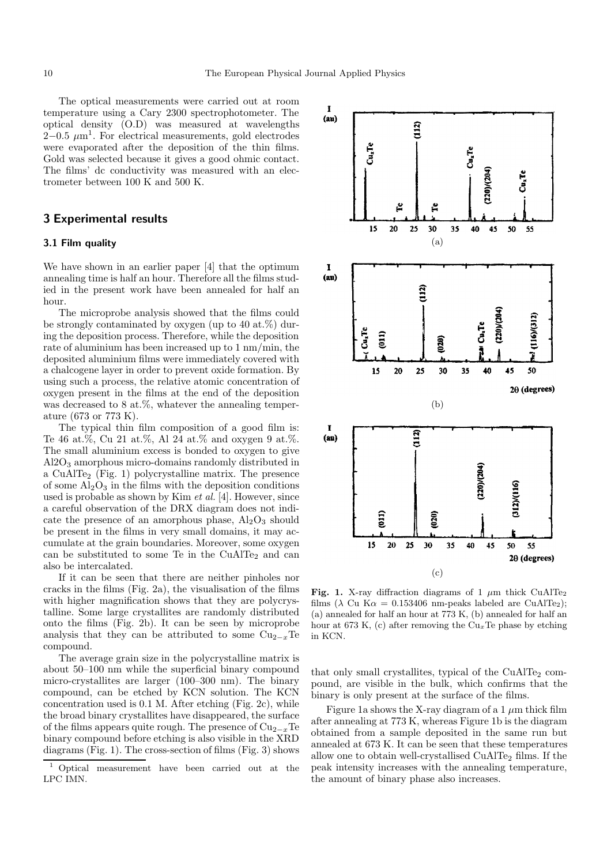The optical measurements were carried out at room temperature using a Cary 2300 spectrophotometer. The optical density (O.D) was measured at wavelengths  $2-0.5 \ \mu m^1$ . For electrical measurements, gold electrodes were evaporated after the deposition of the thin films. Gold was selected because it gives a good ohmic contact. The films' dc conductivity was measured with an electrometer between 100 K and 500 K.

#### **3 Experimental results**

#### **3.1 Film quality**

We have shown in an earlier paper [4] that the optimum annealing time is half an hour. Therefore all the films studied in the present work have been annealed for half an hour.

The microprobe analysis showed that the films could be strongly contaminated by oxygen (up to 40 at. $%$ ) during the deposition process. Therefore, while the deposition rate of aluminium has been increased up to 1 nm/min, the deposited aluminium films were immediately covered with a chalcogene layer in order to prevent oxide formation. By using such a process, the relative atomic concentration of oxygen present in the films at the end of the deposition was decreased to 8 at.%, whatever the annealing temperature (673 or 773 K).

The typical thin film composition of a good film is: Te 46 at.%, Cu 21 at.%, Al 24 at.% and oxygen 9 at.%. The small aluminium excess is bonded to oxygen to give Al2O<sup>3</sup> amorphous micro-domains randomly distributed in a CuAlTe<sup>2</sup> (Fig. 1) polycrystalline matrix. The presence of some  $\rm Al_2O_3$  in the films with the deposition conditions used is probable as shown by Kim et al. [4]. However, since a careful observation of the DRX diagram does not indicate the presence of an amorphous phase,  $Al_2O_3$  should be present in the films in very small domains, it may accumulate at the grain boundaries. Moreover, some oxygen can be substituted to some Te in the CuAlTe<sub>2</sub> and can also be intercalated.

If it can be seen that there are neither pinholes nor cracks in the films (Fig. 2a), the visualisation of the films with higher magnification shows that they are polycrystalline. Some large crystallites are randomly distributed onto the films (Fig. 2b). It can be seen by microprobe analysis that they can be attributed to some  $Cu_{2-x}Te$ compound.

The average grain size in the polycrystalline matrix is about 50–100 nm while the superficial binary compound micro-crystallites are larger (100–300 nm). The binary compound, can be etched by KCN solution. The KCN concentration used is 0.1 M. After etching (Fig. 2c), while the broad binary crystallites have disappeared, the surface of the films appears quite rough. The presence of  $Cu_{2-x}Te$ binary compound before etching is also visible in the XRD diagrams (Fig. 1). The cross-section of films (Fig. 3) shows



Fig. 1. X-ray diffraction diagrams of 1  $\mu$ m thick CuAlTe<sub>2</sub> films ( $\lambda$  Cu K $\alpha$  = 0.153406 nm-peaks labeled are CuAlTe<sub>2</sub>); (a) annealed for half an hour at 773 K, (b) annealed for half an hour at 673 K, (c) after removing the  $Cu<sub>x</sub>Te$  phase by etching in KCN.

that only small crystallites, typical of the CuAlTe<sub>2</sub> compound, are visible in the bulk, which confirms that the binary is only present at the surface of the films.

Figure 1a shows the X-ray diagram of a 1  $\mu$ m thick film after annealing at 773 K, whereas Figure 1b is the diagram obtained from a sample deposited in the same run but annealed at 673 K. It can be seen that these temperatures allow one to obtain well-crystallised CuAlTe<sub>2</sub> films. If the peak intensity increases with the annealing temperature, the amount of binary phase also increases.

<sup>1</sup> Optical measurement have been carried out at the LPC IMN.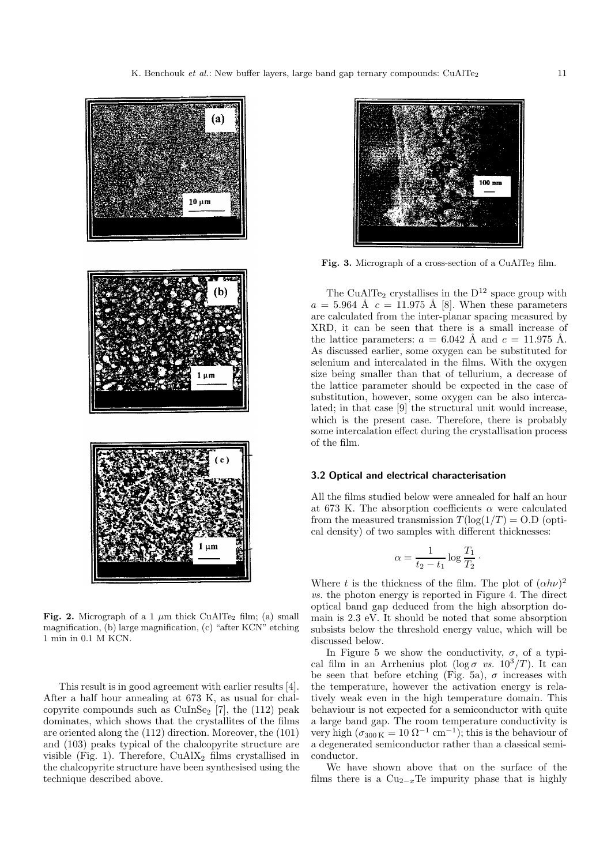

**Fig. 2.** Micrograph of a 1  $\mu$ m thick CuAlTe<sub>2</sub> film; (a) small magnification, (b) large magnification, (c) "after KCN" etching 1 min in 0.1 M KCN.

This result is in good agreement with earlier results [4]. After a half hour annealing at 673 K, as usual for chalcopyrite compounds such as  $\text{CuInSe}_2$  [7], the (112) peak dominates, which shows that the crystallites of the films are oriented along the (112) direction. Moreover, the (101) and (103) peaks typical of the chalcopyrite structure are visible (Fig. 1). Therefore,  $CuAlX<sub>2</sub>$  films crystallised in the chalcopyrite structure have been synthesised using the technique described above.



Fig. 3. Micrograph of a cross-section of a CuAlTe<sub>2</sub> film.

The CuAlTe<sub>2</sub> crystallises in the  $D^{12}$  space group with  $a = 5.964$  Å  $c = 11.975$  Å [8]. When these parameters are calculated from the inter-planar spacing measured by XRD, it can be seen that there is a small increase of the lattice parameters:  $a = 6.042$  Å and  $c = 11.975$  Å. As discussed earlier, some oxygen can be substituted for selenium and intercalated in the films. With the oxygen size being smaller than that of tellurium, a decrease of the lattice parameter should be expected in the case of substitution, however, some oxygen can be also intercalated; in that case [9] the structural unit would increase, which is the present case. Therefore, there is probably some intercalation effect during the crystallisation process of the film.

#### **3.2 Optical and electrical characterisation**

All the films studied below were annealed for half an hour at 673 K. The absorption coefficients  $\alpha$  were calculated from the measured transmission  $T(\log(1/T) = O.D)$  (optical density) of two samples with different thicknesses:

$$
\alpha = \frac{1}{t_2 - t_1} \log \frac{T_1}{T_2}
$$

·

Where t is the thickness of the film. The plot of  $(\alpha h\nu)^2$ vs. the photon energy is reported in Figure 4. The direct optical band gap deduced from the high absorption domain is 2.3 eV. It should be noted that some absorption subsists below the threshold energy value, which will be discussed below.

In Figure 5 we show the conductivity,  $\sigma$ , of a typical film in an Arrhenius plot (log  $\sigma$  vs.  $10^3/T$ ). It can be seen that before etching (Fig. 5a),  $\sigma$  increases with the temperature, however the activation energy is relatively weak even in the high temperature domain. This behaviour is not expected for a semiconductor with quite a large band gap. The room temperature conductivity is very high ( $\sigma_{300\,\text{K}} = 10 \,\Omega^{-1} \,\text{cm}^{-1}$ ); this is the behaviour of a degenerated semiconductor rather than a classical semiconductor.

We have shown above that on the surface of the films there is a  $Cu_{2-x}Te$  impurity phase that is highly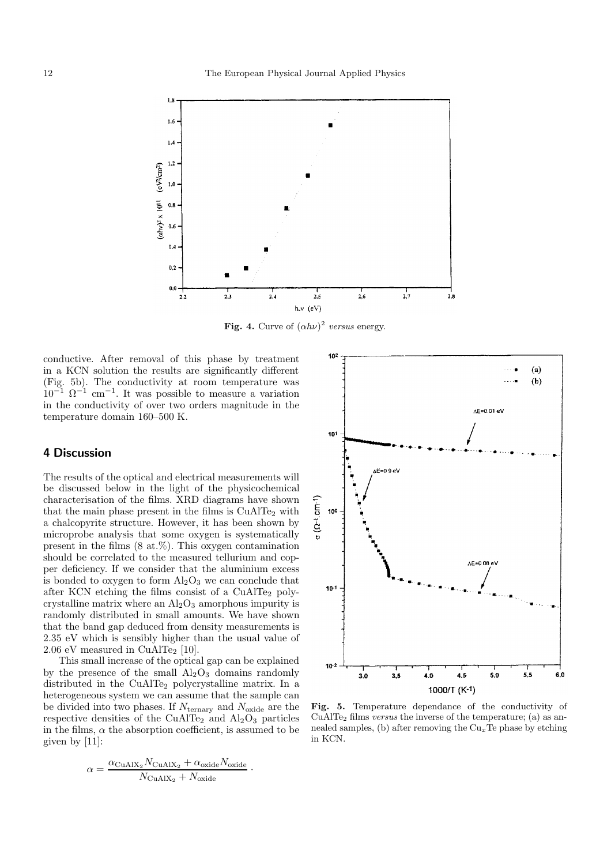

**Fig. 4.** Curve of  $(\alpha h\nu)^2$  versus energy.

conductive. After removal of this phase by treatment in a KCN solution the results are significantly different (Fig. 5b). The conductivity at room temperature was  $10^{-1}$   $\Omega^{-1}$  cm<sup>-1</sup>. It was possible to measure a variation in the conductivity of over two orders magnitude in the temperature domain 160–500 K.

### **4 Discussion**

The results of the optical and electrical measurements will be discussed below in the light of the physicochemical characterisation of the films. XRD diagrams have shown that the main phase present in the films is  $CuAlTe<sub>2</sub>$  with a chalcopyrite structure. However, it has been shown by microprobe analysis that some oxygen is systematically present in the films (8 at.%). This oxygen contamination should be correlated to the measured tellurium and copper deficiency. If we consider that the aluminium excess is bonded to oxygen to form  $Al_2O_3$  we can conclude that after KCN etching the films consist of a CuAlTe<sub>2</sub> polycrystalline matrix where an  $Al_2O_3$  amorphous impurity is randomly distributed in small amounts. We have shown that the band gap deduced from density measurements is 2.35 eV which is sensibly higher than the usual value of 2.06 eV measured in CuAlTe<sub>2</sub> [10].

This small increase of the optical gap can be explained by the presence of the small  $Al_2O_3$  domains randomly distributed in the CuAlTe<sub>2</sub> polycrystalline matrix. In a heterogeneous system we can assume that the sample can be divided into two phases. If  $N_{\text{ternary}}$  and  $N_{\text{oxide}}$  are the respective densities of the CuAlTe<sub>2</sub> and  $Al_2O_3$  particles in the films,  $\alpha$  the absorption coefficient, is assumed to be given by [11]:

$$
\alpha = \frac{\alpha_{\text{CuAlX}_2} N_{\text{CuAlX}_2} + \alpha_{\text{oxide}} N_{\text{oxide}}}{N_{\text{CuAlX}_2} + N_{\text{oxide}}}
$$



Fig. 5. Temperature dependance of the conductivity of CuAlTe<sub>2</sub> films *versus* the inverse of the temperature; (a) as annealed samples, (b) after removing the  $Cu<sub>x</sub>Te$  phase by etching in KCN.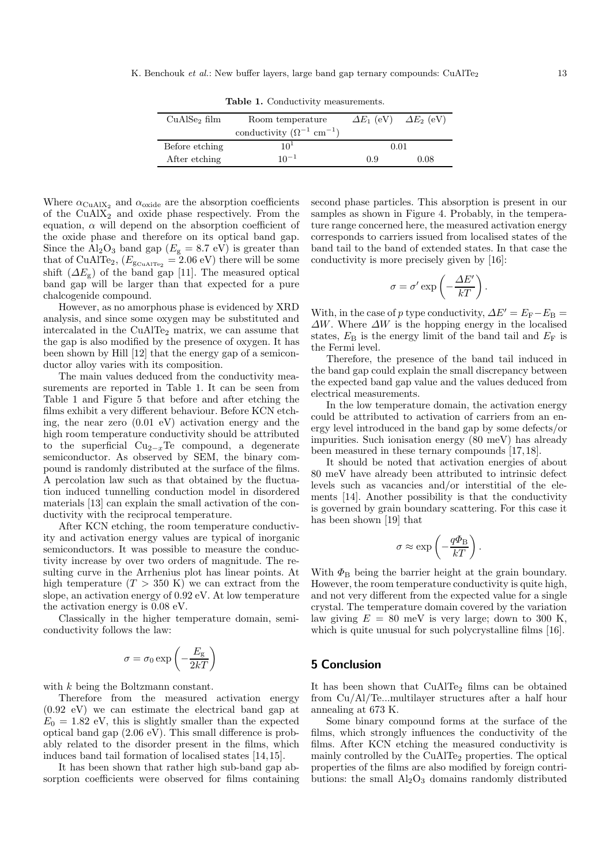**Table 1.** Conductivity measurements.

| conductivity $(\Omega^{-1}$ cm <sup>-1</sup> ) |                  |                                     |
|------------------------------------------------|------------------|-------------------------------------|
| $10^{1}$                                       | 0.01             |                                     |
| $10^{-1}$                                      | 0.9              | 0.08                                |
|                                                | Room temperature | $\Delta E_1$ (eV) $\Delta E_2$ (eV) |

Where  $\alpha_{\rm CuAlX_2}$  and  $\alpha_{\rm oxide}$  are the absorption coefficients of the  $CuAlX<sub>2</sub>$  and oxide phase respectively. From the equation,  $\alpha$  will depend on the absorption coefficient of the oxide phase and therefore on its optical band gap. Since the  $\text{Al}_2\text{O}_3$  band gap ( $E_\text{g} = 8.7 \text{ eV}$ ) is greater than that of CuAlTe<sub>2</sub>,  $(E_{\text{S}\text{CuAITe}_2} = 2.06 \text{ eV})$  there will be some shift  $(\Delta E_{g})$  of the band gap [11]. The measured optical band gap will be larger than that expected for a pure chalcogenide compound.

However, as no amorphous phase is evidenced by XRD analysis, and since some oxygen may be substituted and intercalated in the CuAlTe<sub>2</sub> matrix, we can assume that the gap is also modified by the presence of oxygen. It has been shown by Hill [12] that the energy gap of a semiconductor alloy varies with its composition.

The main values deduced from the conductivity measurements are reported in Table 1. It can be seen from Table 1 and Figure 5 that before and after etching the films exhibit a very different behaviour. Before KCN etching, the near zero (0.01 eV) activation energy and the high room temperature conductivity should be attributed to the superficial  $Cu_{2-x}Te$  compound, a degenerate semiconductor. As observed by SEM, the binary compound is randomly distributed at the surface of the films. A percolation law such as that obtained by the fluctuation induced tunnelling conduction model in disordered materials [13] can explain the small activation of the conductivity with the reciprocal temperature.

After KCN etching, the room temperature conductivity and activation energy values are typical of inorganic semiconductors. It was possible to measure the conductivity increase by over two orders of magnitude. The resulting curve in the Arrhenius plot has linear points. At high temperature  $(T > 350 \text{ K})$  we can extract from the slope, an activation energy of 0.92 eV. At low temperature the activation energy is 0.08 eV.

Classically in the higher temperature domain, semiconductivity follows the law:

$$
\sigma = \sigma_0 \exp \left( - \frac{E_{\rm g}}{2 k T} \right)
$$

with k being the Boltzmann constant.

Therefore from the measured activation energy (0.92 eV) we can estimate the electrical band gap at  $E_0 = 1.82$  eV, this is slightly smaller than the expected optical band gap (2.06 eV). This small difference is probably related to the disorder present in the films, which induces band tail formation of localised states [14,15].

It has been shown that rather high sub-band gap absorption coefficients were observed for films containing second phase particles. This absorption is present in our samples as shown in Figure 4. Probably, in the temperature range concerned here, the measured activation energy corresponds to carriers issued from localised states of the band tail to the band of extended states. In that case the conductivity is more precisely given by [16]:

$$
\sigma = \sigma' \exp\left(-\frac{\Delta E'}{kT}\right).
$$

With, in the case of p type conductivity,  $\Delta E' = E_F - E_B =$  $\Delta W$ . Where  $\Delta W$  is the hopping energy in the localised states,  $E_{\rm B}$  is the energy limit of the band tail and  $E_{\rm F}$  is the Fermi level.

Therefore, the presence of the band tail induced in the band gap could explain the small discrepancy between the expected band gap value and the values deduced from electrical measurements.

In the low temperature domain, the activation energy could be attributed to activation of carriers from an energy level introduced in the band gap by some defects/or impurities. Such ionisation energy (80 meV) has already been measured in these ternary compounds [17,18].

It should be noted that activation energies of about 80 meV have already been attributed to intrinsic defect levels such as vacancies and/or interstitial of the elements [14]. Another possibility is that the conductivity is governed by grain boundary scattering. For this case it has been shown [19] that

$$
\sigma \approx \exp\left(-\frac{q\Phi_{\rm B}}{kT}\right).
$$

With  $\Phi_{\rm B}$  being the barrier height at the grain boundary. However, the room temperature conductivity is quite high, and not very different from the expected value for a single crystal. The temperature domain covered by the variation law giving  $E = 80$  meV is very large; down to 300 K, which is quite unusual for such polycrystalline films [16].

# **5 Conclusion**

It has been shown that CuAlTe<sub>2</sub> films can be obtained from Cu/Al/Te...multilayer structures after a half hour annealing at 673 K.

Some binary compound forms at the surface of the films, which strongly influences the conductivity of the films. After KCN etching the measured conductivity is mainly controlled by the CuAlTe<sub>2</sub> properties. The optical properties of the films are also modified by foreign contributions: the small  $\rm Al_2O_3$  domains randomly distributed